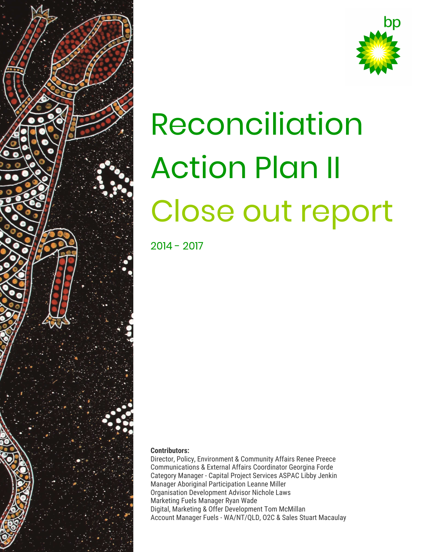



# Reconciliation Action Plan II Close out report

2014 - 2017

#### **Contributors:**

Director, Policy, Environment & Community Affairs Renee Preece Communications & External Affairs Coordinator Georgina Forde Category Manager - Capital Project Services ASPAC Libby Jenkin Manager Aboriginal Participation Leanne Miller Organisation Development Advisor Nichole Laws Marketing Fuels Manager Ryan Wade Digital, Marketing & Offer Development Tom McMillan Account Manager Fuels - WA/NT/QLD, O2C & Sales Stuart Macaulay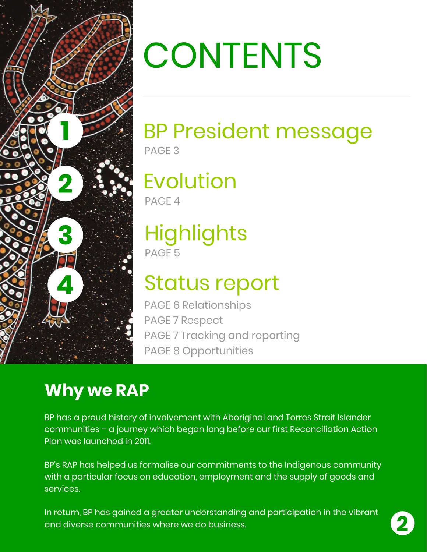

# **CONTENTS**

#### BP President message PAGE 3

### Evolution

PAGE 4

#### **Highlights** PAGE 5

### Status report

PAGE 6 Relationships PAGE 7 Respect PAGE 7 Tracking and reporting PAGE 8 Opportunities

#### **Why we RAP**

BP has a proud history of involvement with Aboriginal and Torres Strait Islander communities – a journey which began long before our first Reconciliation Action Plan was launched in 2011.

BP's RAP has helped us formalise our commitments to the Indigenous community with a particular focus on education, employment and the supply of goods and services.

In return, BP has gained a greater understanding and participation in the vibrant and diverse communities where we do business.

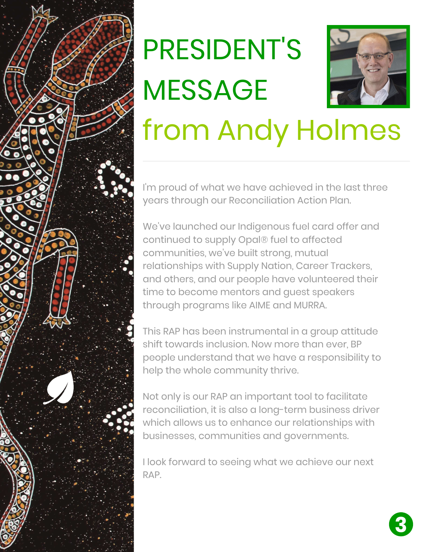

### PRESIDENT'S MESSAGE from Andy Holmes

I'm proud of what we have achieved in the last three years through our Reconciliation Action Plan.

We've launched our Indigenous fuel card offer and continued to supply Opal® fuel to affected communities, we've built strong, mutual relationships with Supply Nation, Career Trackers, and others, and our people have volunteered their time to become mentors and guest speakers through programs like AIME and MURRA.

This RAP has been instrumental in a group attitude shift towards inclusion. Now more than ever, BP people understand that we have a responsibility to help the whole community thrive.

Not only is our RAP an important tool to facilitate reconciliation, it is also a long-term business driver which allows us to enhance our relationships with businesses, communities and governments.

I look forward to seeing what we achieve our next RAP.

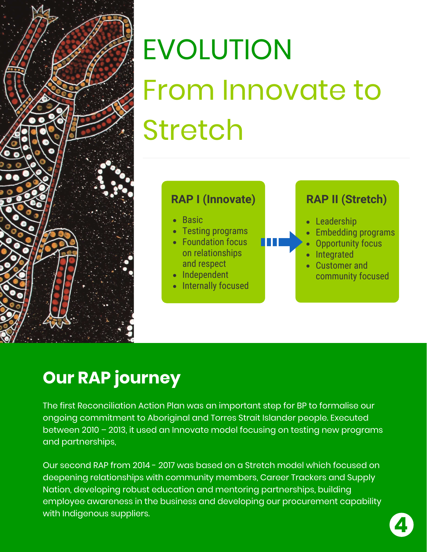

## EVOLUTION From Innovate to Stretch



#### **Our RAP journey**

The first Reconciliation Action Plan was an important step for BP to formalise our ongoing commitment to Aboriginal and Torres Strait Islander people. Executed between 2010 – 2013, it used an Innovate model focusing on testing new programs and partnerships,

Our second RAP from 2014 - 2017 was based on a Stretch model which focused on deepening relationships with community members, Career Trackers and Supply Nation, developing robust education and mentoring partnerships, building employee awareness in the business and developing our procurement capability with Indigenous suppliers.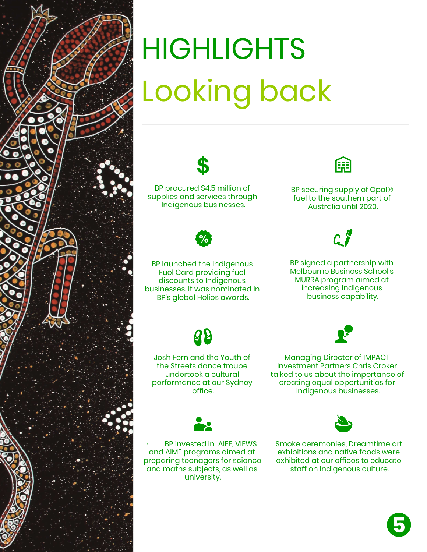

### **HIGHLIGHTS** Looking back

BP procured \$4.5 million of supplies and services through Indigenous businesses.



BP launched the Indigenous Fuel Card providing fuel discounts to Indigenous businesses. It was nominated in BP's global Helios awards.

Æ

BP securing supply of Opal® fuel to the southern part of Australia until 2020.

#### $\mathcal{C}$

BP signed a partnership with Melbourne Business School's MURRA program aimed at increasing Indigenous business capability.





Josh Fern and the Youth of the Streets dance troupe undertook a cultural performance at our Sydney office.

Managing Director of IMPACT Investment Partners Chris Croker talked to us about the importance of creating equal opportunities for Indigenous businesses.



BP invested in AIEF, VIEWS and AIME programs aimed at preparing teenagers for science and maths subjects, as well as university.

Smoke ceremonies, Dreamtime art



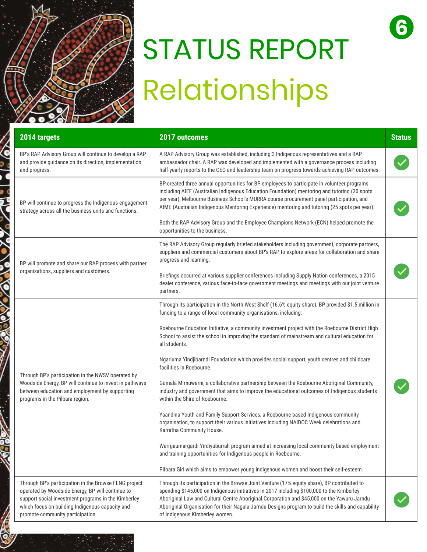

## STATUS REPORT Relationships

**6**

| 2014 targets                                                                                                                                                                                                                                            | 2017 outcomes                                                                                                                                                                                                                                                                                                                                                                                                                   | <b>Status</b> |
|---------------------------------------------------------------------------------------------------------------------------------------------------------------------------------------------------------------------------------------------------------|---------------------------------------------------------------------------------------------------------------------------------------------------------------------------------------------------------------------------------------------------------------------------------------------------------------------------------------------------------------------------------------------------------------------------------|---------------|
| BP's RAP Advisory Group will continue to develop a RAP<br>and provide guidance on its direction, implementation<br>and progress.                                                                                                                        | A RAP Advisory Group was established, including 3 Indigenous representatives and a RAP<br>ambassador chair. A RAP was developed and implemented with a governance process including<br>half-yearly reports to the CEO and leadership team on progress towards achieving RAP outcomes.                                                                                                                                           |               |
| BP will continue to progress the Indigenous engagement<br>strategy across all the business units and functions.                                                                                                                                         | BP created three annual opportunities for BP employees to participate in volunteer programs<br>including AIEF (Australian Indigenous Education Foundation) mentoring and tutoring (20 spots<br>per year), Melbourne Business School's MURRA course procurement panel participation, and<br>AIME (Australian Indigenous Mentoring Experience) mentoring and tutoring (25 spots per year).                                        |               |
|                                                                                                                                                                                                                                                         | Both the RAP Advisory Group and the Employee Champions Network (ECN) helped promote the<br>opportunities to the business.                                                                                                                                                                                                                                                                                                       |               |
| BP will promote and share our RAP process with partner<br>organisations, suppliers and customers.                                                                                                                                                       | The RAP Advisory Group regularly briefed stakeholders including government, corporate partners,<br>suppliers and commercial customers about BP's RAP to explore areas for collaboration and share<br>progress and learning.                                                                                                                                                                                                     |               |
|                                                                                                                                                                                                                                                         | Briefings occurred at various supplier conferences including Supply Nation conferences, a 2015<br>dealer conference, various face-to-face government meetings and meetings with our joint venture<br>partners.                                                                                                                                                                                                                  |               |
| Through BP's participation in the NWSV operated by<br>Woodside Energy, BP will continue to invest in pathways<br>between education and employment by supporting<br>programs in the Pilbara region.                                                      | Through its participation in the North West Shelf (16.6% equity share), BP provided \$1.5 million in<br>funding to a range of local community organisations, including:                                                                                                                                                                                                                                                         |               |
|                                                                                                                                                                                                                                                         | Roebourne Education Initiative, a community investment project with the Roebourne District High<br>School to assist the school in improving the standard of mainstream and cultural education for<br>all students.                                                                                                                                                                                                              |               |
|                                                                                                                                                                                                                                                         | Ngarluma Yindjibarndi Foundation which provides social support, youth centres and childcare<br>facilities in Roebourne.                                                                                                                                                                                                                                                                                                         |               |
|                                                                                                                                                                                                                                                         | Gumala Mirnuwarni, a collaborative partnership between the Roebourne Aboriginal Community,<br>industry and government that aims to improve the educational outcomes of Indigenous students<br>within the Shire of Roebourne.                                                                                                                                                                                                    |               |
|                                                                                                                                                                                                                                                         | Yaandina Youth and Family Support Services, a Roebourne based Indigenous community<br>organisation, to support their various initiatives including NAIDOC Week celebrations and<br>Karratha Community House.                                                                                                                                                                                                                    |               |
|                                                                                                                                                                                                                                                         | Warrgaumargardi Yirdiyuburrah program aimed at increasing local community based employment<br>and training opportunities for Indigenous people in Roebourne.                                                                                                                                                                                                                                                                    |               |
|                                                                                                                                                                                                                                                         | Pilbara Girl which aims to empower young indigenous women and boost their self-esteem.                                                                                                                                                                                                                                                                                                                                          |               |
| Through BP's participation in the Browse FLNG project<br>operated by Woodside Energy, BP will continue to<br>support social investment programs in the Kimberley<br>which focus on building Indigenous capacity and<br>promote community participation. | Through its participation in the Browse Joint Venture (17% equity share), BP contributed to<br>spending \$145,000 on Indigenous initiatives in 2017 including \$100,000 to the Kimberley<br>Aboriginal Law and Cultural Centre Aboriginal Corporation and \$45,000 on the Yawuru Jarndu<br>Aboriginal Organisation for their Nagula Jarndu Designs program to build the skills and capability<br>of Indigenous Kimberley women. |               |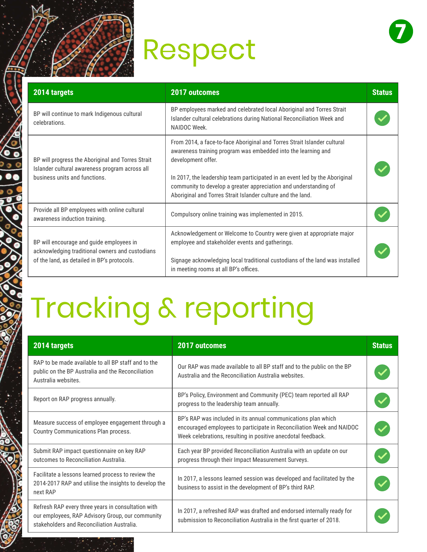### Respect



| 2014 targets                                                                                                                               | 2017 outcomes                                                                                                                                                                                                                                                                                                                                                                     | <b>Status</b> |
|--------------------------------------------------------------------------------------------------------------------------------------------|-----------------------------------------------------------------------------------------------------------------------------------------------------------------------------------------------------------------------------------------------------------------------------------------------------------------------------------------------------------------------------------|---------------|
| BP will continue to mark Indigenous cultural<br>celebrations.                                                                              | BP employees marked and celebrated local Aboriginal and Torres Strait<br>Islander cultural celebrations during National Reconciliation Week and<br>NAIDOC Week.                                                                                                                                                                                                                   |               |
| BP will progress the Aboriginal and Torres Strait<br>Islander cultural awareness program across all<br>business units and functions.       | From 2014, a face-to-face Aboriginal and Torres Strait Islander cultural<br>awareness training program was embedded into the learning and<br>development offer.<br>In 2017, the leadership team participated in an event led by the Aboriginal<br>community to develop a greater appreciation and understanding of<br>Aboriginal and Torres Strait Islander culture and the land. |               |
| Provide all BP employees with online cultural<br>awareness induction training.                                                             | Compulsory online training was implemented in 2015.                                                                                                                                                                                                                                                                                                                               |               |
| BP will encourage and guide employees in<br>acknowledging traditional owners and custodians<br>of the land, as detailed in BP's protocols. | Acknowledgement or Welcome to Country were given at appropriate major<br>employee and stakeholder events and gatherings.                                                                                                                                                                                                                                                          |               |
|                                                                                                                                            | Signage acknowledging local traditional custodians of the land was installed<br>in meeting rooms at all BP's offices.                                                                                                                                                                                                                                                             |               |

### Tracking & reporting

| 2014 targets                                                                                                                                         | <b>2017 outcomes</b>                                                                                                                                                                                   | <b>Status</b> |
|------------------------------------------------------------------------------------------------------------------------------------------------------|--------------------------------------------------------------------------------------------------------------------------------------------------------------------------------------------------------|---------------|
| RAP to be made available to all BP staff and to the<br>public on the BP Australia and the Reconciliation<br>Australia websites.                      | Our RAP was made available to all BP staff and to the public on the BP<br>Australia and the Reconciliation Australia websites.                                                                         |               |
| Report on RAP progress annually.                                                                                                                     | BP's Policy, Environment and Community (PEC) team reported all RAP<br>progress to the leadership team annually.                                                                                        |               |
| Measure success of employee engagement through a<br>Country Communications Plan process.                                                             | BP's RAP was included in its annual communications plan which<br>encouraged employees to participate in Reconciliation Week and NAIDOC<br>Week celebrations, resulting in positive anecdotal feedback. |               |
| Submit RAP impact questionnaire on key RAP<br>outcomes to Reconciliation Australia.                                                                  | Each year BP provided Reconciliation Australia with an update on our<br>progress through their Impact Measurement Surveys.                                                                             |               |
| Facilitate a lessons learned process to review the<br>2014-2017 RAP and utilise the insights to develop the<br>next RAP                              | In 2017, a lessons learned session was developed and facilitated by the<br>business to assist in the development of BP's third RAP.                                                                    |               |
| Refresh RAP every three years in consultation with<br>our employees, RAP Advisory Group, our community<br>stakeholders and Reconciliation Australia. | In 2017, a refreshed RAP was drafted and endorsed internally ready for<br>submission to Reconciliation Australia in the first quarter of 2018.                                                         |               |